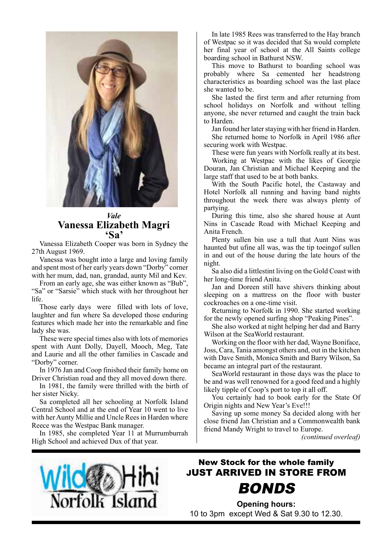

## *Vale* **Vanessa Elizabeth Magri 'Sa'**

Vanessa Elizabeth Cooper was born in Sydney the 27th August 1969.

Vanessa was bought into a large and loving family and spent most of her early years down "Dorby" corner with her mum, dad, nan, grandad, aunty Mil and Kev.

From an early age, she was either known as "Bub", "Sa" or "Sarsie" which stuck with her throughout her life.

Those early days were filled with lots of love, laughter and fun where Sa developed those enduring features which made her into the remarkable and fine lady she was.

These were special times also with lots of memories spent with Aunt Dolly, Dayell, Mooch, Meg, Tate and Laurie and all the other families in Cascade and "Dorby" corner.

In 1976 Jan and Coop finished their family home on Driver Christian road and they all moved down there.

In 1981, the family were thrilled with the birth of her sister Nicky.

Sa completed all her schooling at Norfolk Island Central School and at the end of Year 10 went to live with her Aunty Millie and Uncle Rees in Harden where Reece was the Westpac Bank manager.

In 1985, she completed Year 11 at Murrumburrah High School and achieved Dux of that year.

In late 1985 Rees was transferred to the Hay branch of Westpac so it was decided that Sa would complete her final year of school at the All Saints college boarding school in Bathurst NSW.

This move to Bathurst to boarding school was probably where Sa cemented her headstrong characteristics as boarding school was the last place she wanted to be.

She lasted the first term and after returning from school holidays on Norfolk and without telling anyone, she never returned and caught the train back to Harden.

Jan found her later staying with her friend in Harden. She returned home to Norfolk in April 1986 after securing work with Westpac.

These were fun years with Norfolk really at its best.

Working at Westpac with the likes of Georgie Douran, Jan Christian and Michael Keeping and the large staff that used to be at both banks.

With the South Pacific hotel, the Castaway and Hotel Norfolk all running and having band nights throughout the week there was always plenty of partying.

During this time, also she shared house at Aunt Nins in Cascade Road with Michael Keeping and Anita French.

Plenty sullen bin use a tull that Aunt Nins was haunted but ufine all was, was the tip toeingof sullen in and out of the house during the late hours of the night.

Sa also did a littlestint living on the Gold Coast with her long-time friend Anita.

Jan and Doreen still have shivers thinking about sleeping on a mattress on the floor with buster cockroaches on a one-time visit.

Returning to Norfolk in 1990. She started working for the newly opened surfing shop "Peaking Pines".

She also worked at night helping her dad and Barry Wilson at the SeaWorld restaurant.

Working on the floor with her dad, Wayne Boniface, Joss, Cara, Tania amongst others and, out in the kitchen with Dave Smith, Monica Smith and Barry Wilson, Sa became an integral part of the restaurant.

SeaWorld restaurant in those days was the place to be and was well renowned for a good feed and a highly likely tipple of Coop's port to top it all off.

You certainly had to book early for the State Of Origin nights and New Year's Eve!!!

Saving up some money Sa decided along with her close friend Jan Christian and a Commonwealth bank friend Mandy Wright to travel to Europe.

*(continued overleaf)*



# New Stock for the whole family JUST ARRIVED IN STORE FROM BONDS

**Opening hours:**  10 to 3pm except Wed & Sat 9.30 to 12.30.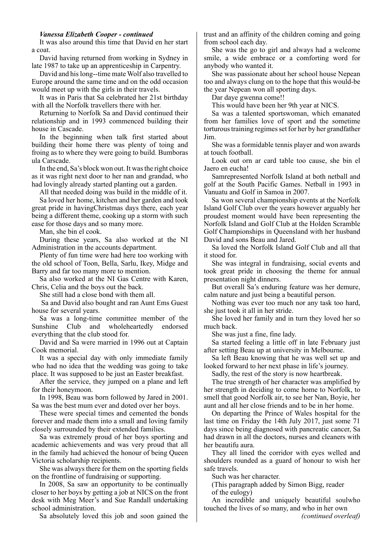#### *Vanessa Elizabeth Cooper - continued*

It was also around this time that David en her start a coat.

David having returned from working in Sydney in late 1987 to take up an apprenticeship in Carpentry.

David and his long--time mate Wolf also travelled to Europe around the same time and on the odd occasion would meet up with the girls in their travels.

It was in Paris that Sa celebrated her 21st birthday with all the Norfolk travellers there with her.

Returning to Norfolk Sa and David continued their relationship and in 1993 commenced building their house in Cascade.

In the beginning when talk first started about building their home there was plenty of toing and froing as to where they were going to build. Bumboras ula Carscade.

In the end, Sa's block won out. It was the right choice as it was right next door to her nan and grandad, who had lovingly already started planting out a garden.

All that needed doing was build in the middle of it. Sa loved her home, kitchen and her garden and took great pride in havingChristmas days there, each year being a different theme, cooking up a storm with such ease for those days and so many more.

Man, she bin el cook.

During these years, Sa also worked at the NI Administration in the accounts department.

Plenty of fun time were had here too working with the old school of Toon, Bella, Sarlu, Ikey, Midge and Barry and far too many more to mention.

Sa also worked at the NI Gas Centre with Karen, Chris, Celia and the boys out the back.

She still had a close bond with them all.

 Sa and David also bought and ran Aunt Ems Guest house for several years.

Sa was a long-time committee member of the Sunshine Club and wholeheartedly endorsed everything that the club stood for.

David and Sa were married in 1996 out at Captain Cook memorial.

It was a special day with only immediate family who had no idea that the wedding was going to take place. It was supposed to be just an Easter breakfast.

After the service, they jumped on a plane and left for their honeymoon.

In 1998, Beau was born followed by Jared in 2001. Sa was the best mum ever and doted over her boys.

These were special times and cemented the bonds forever and made them into a small and loving family closely surrounded by their extended families.

Sa was extremely proud of her boys sporting and academic achievements and was very proud that all in the family had achieved the honour of being Queen Victoria scholarship recipients.

She was always there for them on the sporting fields on the frontline of fundraising or supporting.

In 2008, Sa saw an opportunity to be continually closer to her boys by getting a job at NICS on the front desk with Meg Meer's and Sue Randall undertaking school administration.

Sa absolutely loved this job and soon gained the

trust and an affinity of the children coming and going from school each day.

She was the go to girl and always had a welcome smile, a wide embrace or a comforting word for anybody who wanted it.

She was passionate about her school house Nepean too and always clung on to the hope that this would-be the year Nepean won all sporting days.

Dar daye gwenna come!!

This would have been her 9th year at NICS.

Sa was a talented sportswoman, which emanated from her families love of sport and the sometime torturous training regimes set for her by her grandfather Jim.

She was a formidable tennis player and won awards at touch football.

Look out orn ar card table too cause, she bin el Jaero en eucha!

Samrepresented Norfolk Island at both netball and golf at the South Pacific Games. Netball in 1993 in Vanuatu and Golf in Samoa in 2007.

Sa won several championship events at the Norfolk Island Golf Club over the years however arguably her proudest moment would have been representing the Norfolk Island and Golf Club at the Holden Scramble Golf Championships in Queensland with her husband David and sons Beau and Jared.

Sa loved the Norfolk Island Golf Club and all that it stood for.

She was integral in fundraising, social events and took great pride in choosing the theme for annual presentation night dinners.

But overall Sa's enduring feature was her demure, calm nature and just being a beautiful person.

Nothing was ever too much nor any task too hard, she just took it all in her stride.

She loved her family and in turn they loved her so much back.

She was just a fine, fine lady.

Sa started feeling a little off in late February just after setting Beau up at university in Melbourne.

Sa left Beau knowing that he was well set up and looked forward to her next phase in life's journey.

Sadly, the rest of the story is now heartbreak.

The true strength of her character was amplified by her strength in deciding to come home to Norfolk, to smell that good Norfolk air, to see her Nan, Boyie, her aunt and all her close friends and to be in her home.

On departing the Prince of Wales hospital for the last time on Friday the 14th July 2017, just some 71 days since being diagnosed with pancreatic cancer, Sa had drawn in all the doctors, nurses and cleaners with her beautifu aura.

They all lined the corridor with eyes welled and shoulders rounded as a guard of honour to wish her safe travels.

Such was her character.

(This paragraph added by Simon Bigg, reader of the eulogy)

An incredible and uniquely beautiful soulwho touched the lives of so many, and who in her own *(continued overleaf)*